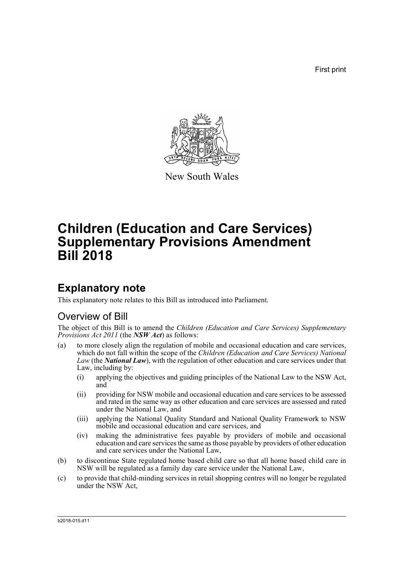First print



New South Wales

# **Children (Education and Care Services) Supplementary Provisions Amendment Bill 2018**

# **Explanatory note**

This explanatory note relates to this Bill as introduced into Parliament.

# Overview of Bill

The object of this Bill is to amend the *Children (Education and Care Services) Supplementary Provisions Act 2011* (the *NSW Act*) as follows:

- (a) to more closely align the regulation of mobile and occasional education and care services, which do not fall within the scope of the *Children (Education and Care Services) National Law* (the *National Law*), with the regulation of other education and care services under that Law, including by:
	- (i) applying the objectives and guiding principles of the National Law to the NSW Act, and
	- (ii) providing for NSW mobile and occasional education and care services to be assessed and rated in the same way as other education and care services are assessed and rated under the National Law, and
	- (iii) applying the National Quality Standard and National Quality Framework to NSW mobile and occasional education and care services, and
	- (iv) making the administrative fees payable by providers of mobile and occasional education and care services the same as those payable by providers of other education and care services under the National Law,
- (b) to discontinue State regulated home based child care so that all home based child care in NSW will be regulated as a family day care service under the National Law,
- (c) to provide that child-minding services in retail shopping centres will no longer be regulated under the NSW Act,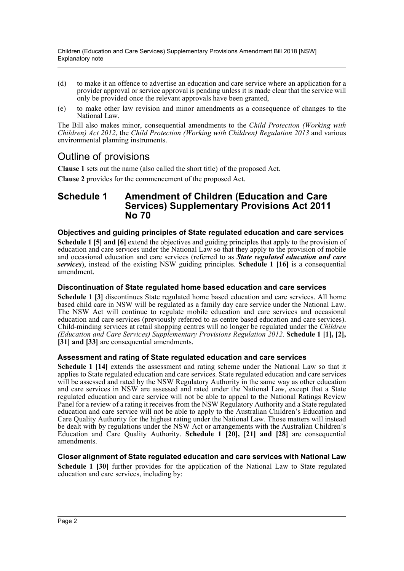- (d) to make it an offence to advertise an education and care service where an application for a provider approval or service approval is pending unless it is made clear that the service will only be provided once the relevant approvals have been granted,
- (e) to make other law revision and minor amendments as a consequence of changes to the National Law.

The Bill also makes minor, consequential amendments to the *Child Protection (Working with Children) Act 2012*, the *Child Protection (Working with Children) Regulation 2013* and various environmental planning instruments.

# Outline of provisions

**Clause 1** sets out the name (also called the short title) of the proposed Act.

**Clause 2** provides for the commencement of the proposed Act.

## **Schedule 1 Amendment of Children (Education and Care Services) Supplementary Provisions Act 2011 No 70**

### **Objectives and guiding principles of State regulated education and care services**

**Schedule 1 [5] and [6]** extend the objectives and guiding principles that apply to the provision of education and care services under the National Law so that they apply to the provision of mobile and occasional education and care services (referred to as *State regulated education and care services*), instead of the existing NSW guiding principles. **Schedule 1 [16]** is a consequential amendment.

### **Discontinuation of State regulated home based education and care services**

**Schedule 1 [3]** discontinues State regulated home based education and care services. All home based child care in NSW will be regulated as a family day care service under the National Law. The NSW Act will continue to regulate mobile education and care services and occasional education and care services (previously referred to as centre based education and care services). Child-minding services at retail shopping centres will no longer be regulated under the *Children (Education and Care Services) Supplementary Provisions Regulation 2012*. **Schedule 1 [1], [2], [31] and [33]** are consequential amendments.

### **Assessment and rating of State regulated education and care services**

**Schedule 1 [14]** extends the assessment and rating scheme under the National Law so that it applies to State regulated education and care services. State regulated education and care services will be assessed and rated by the NSW Regulatory Authority in the same way as other education and care services in NSW are assessed and rated under the National Law, except that a State regulated education and care service will not be able to appeal to the National Ratings Review Panel for a review of a rating it receives from the NSW Regulatory Authority and a State regulated education and care service will not be able to apply to the Australian Children's Education and Care Quality Authority for the highest rating under the National Law. Those matters will instead be dealt with by regulations under the NSW Act or arrangements with the Australian Children's Education and Care Quality Authority. **Schedule 1 [20], [21] and [28]** are consequential amendments.

### **Closer alignment of State regulated education and care services with National Law**

**Schedule 1 [30]** further provides for the application of the National Law to State regulated education and care services, including by: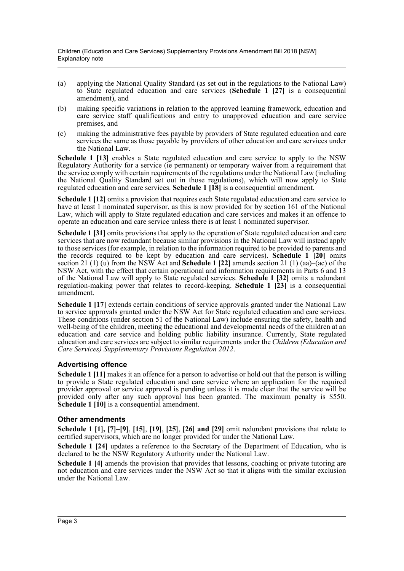Children (Education and Care Services) Supplementary Provisions Amendment Bill 2018 [NSW] Explanatory note

- (a) applying the National Quality Standard (as set out in the regulations to the National Law) to State regulated education and care services (**Schedule 1 [27]** is a consequential amendment), and
- (b) making specific variations in relation to the approved learning framework, education and care service staff qualifications and entry to unapproved education and care service premises, and
- (c) making the administrative fees payable by providers of State regulated education and care services the same as those payable by providers of other education and care services under the National Law.

**Schedule 1 [13]** enables a State regulated education and care service to apply to the NSW Regulatory Authority for a service (ie permanent) or temporary waiver from a requirement that the service comply with certain requirements of the regulations under the National Law (including the National Quality Standard set out in those regulations), which will now apply to State regulated education and care services. **Schedule 1 [18]** is a consequential amendment.

**Schedule 1 [12]** omits a provision that requires each State regulated education and care service to have at least 1 nominated supervisor, as this is now provided for by section 161 of the National Law, which will apply to State regulated education and care services and makes it an offence to operate an education and care service unless there is at least 1 nominated supervisor.

**Schedule 1 [31]** omits provisions that apply to the operation of State regulated education and care services that are now redundant because similar provisions in the National Law will instead apply to those services (for example, in relation to the information required to be provided to parents and the records required to be kept by education and care services). **Schedule 1 [20]** omits section 21 (1) (u) from the NSW Act and **Schedule 1 [22]** amends section 21 (1) (aa)–(ac) of the NSW Act, with the effect that certain operational and information requirements in Parts 6 and 13 of the National Law will apply to State regulated services. **Schedule 1 [32]** omits a redundant regulation-making power that relates to record-keeping. **Schedule 1 [23]** is a consequential amendment.

**Schedule 1 [17]** extends certain conditions of service approvals granted under the National Law to service approvals granted under the NSW Act for State regulated education and care services. These conditions (under section 51 of the National Law) include ensuring the safety, health and well-being of the children, meeting the educational and developmental needs of the children at an education and care service and holding public liability insurance. Currently, State regulated education and care services are subject to similar requirements under the *Children (Education and Care Services) Supplementary Provisions Regulation 2012*.

### **Advertising offence**

**Schedule 1 [11]** makes it an offence for a person to advertise or hold out that the person is willing to provide a State regulated education and care service where an application for the required provider approval or service approval is pending unless it is made clear that the service will be provided only after any such approval has been granted. The maximum penalty is \$550. **Schedule 1 [10]** is a consequential amendment.

### **Other amendments**

**Schedule 1 [1], [7]–[9]**, **[15]**, **[19]**, **[25]**, **[26] and [29]** omit redundant provisions that relate to certified supervisors, which are no longer provided for under the National Law.

**Schedule 1 [24]** updates a reference to the Secretary of the Department of Education, who is declared to be the NSW Regulatory Authority under the National Law.

**Schedule 1 [4]** amends the provision that provides that lessons, coaching or private tutoring are not education and care services under the NSW Act so that it aligns with the similar exclusion under the National Law.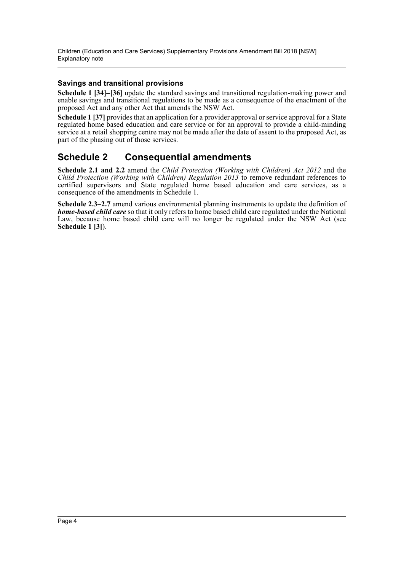Children (Education and Care Services) Supplementary Provisions Amendment Bill 2018 [NSW] Explanatory note

### **Savings and transitional provisions**

**Schedule 1 [34]–[36]** update the standard savings and transitional regulation-making power and enable savings and transitional regulations to be made as a consequence of the enactment of the proposed Act and any other Act that amends the NSW Act.

**Schedule 1 [37]** provides that an application for a provider approval or service approval for a State regulated home based education and care service or for an approval to provide a child-minding service at a retail shopping centre may not be made after the date of assent to the proposed Act, as part of the phasing out of those services.

## **Schedule 2 Consequential amendments**

**Schedule 2.1 and 2.2** amend the *Child Protection (Working with Children) Act 2012* and the *Child Protection (Working with Children) Regulation 2013* to remove redundant references to certified supervisors and State regulated home based education and care services, as a consequence of the amendments in Schedule 1.

**Schedule 2.3–2.7** amend various environmental planning instruments to update the definition of *home-based child care* so that it only refers to home based child care regulated under the National Law, because home based child care will no longer be regulated under the NSW Act (see **Schedule 1 [3]**).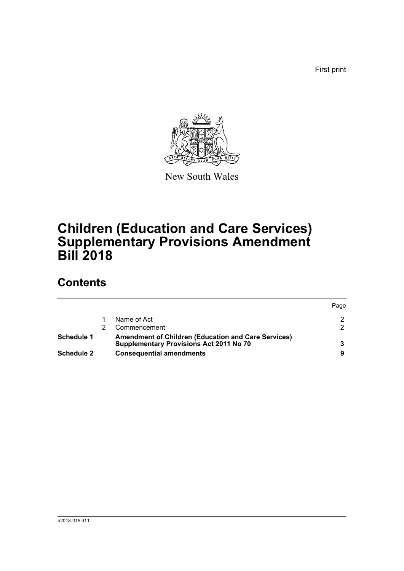First print



New South Wales

# **Children (Education and Care Services) Supplementary Provisions Amendment Bill 2018**

# **Contents**

|                   |                                                                                                              | Page |
|-------------------|--------------------------------------------------------------------------------------------------------------|------|
|                   | Name of Act                                                                                                  |      |
|                   | Commencement                                                                                                 | ົ    |
| Schedule 1        | <b>Amendment of Children (Education and Care Services)</b><br><b>Supplementary Provisions Act 2011 No 70</b> |      |
| <b>Schedule 2</b> | <b>Consequential amendments</b>                                                                              |      |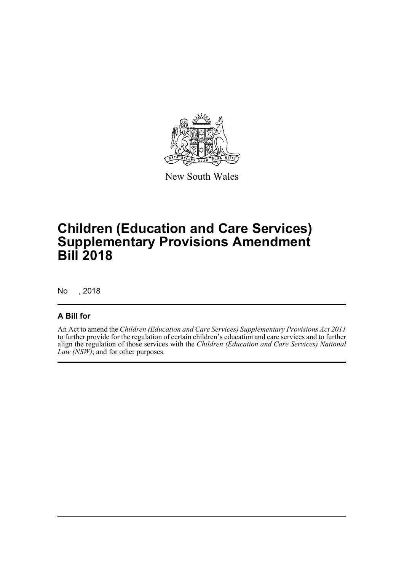

New South Wales

# **Children (Education and Care Services) Supplementary Provisions Amendment Bill 2018**

No , 2018

### **A Bill for**

An Act to amend the *Children (Education and Care Services) Supplementary Provisions Act 2011* to further provide for the regulation of certain children's education and care services and to further align the regulation of those services with the *Children (Education and Care Services) National Law (NSW)*; and for other purposes.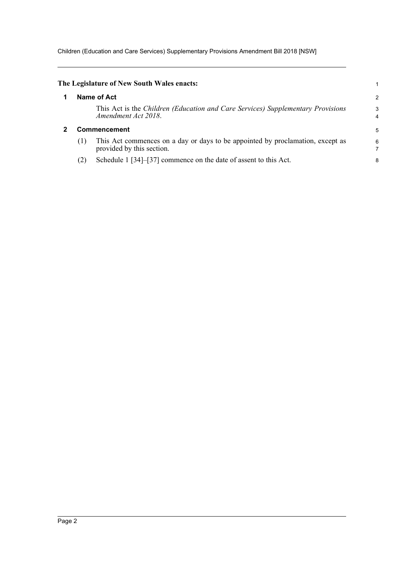Children (Education and Care Services) Supplementary Provisions Amendment Bill 2018 [NSW]

<span id="page-6-1"></span><span id="page-6-0"></span>

|     | The Legislature of New South Wales enacts:                                                                  |                |
|-----|-------------------------------------------------------------------------------------------------------------|----------------|
|     | Name of Act                                                                                                 | $\overline{2}$ |
|     | This Act is the Children (Education and Care Services) Supplementary Provisions<br>Amendment Act 2018.      | 3<br>4         |
|     | Commencement                                                                                                | 5              |
| (1) | This Act commences on a day or days to be appointed by proclamation, except as<br>provided by this section. | 6              |
| (2) | Schedule 1 [34]–[37] commence on the date of assent to this Act.                                            | 8              |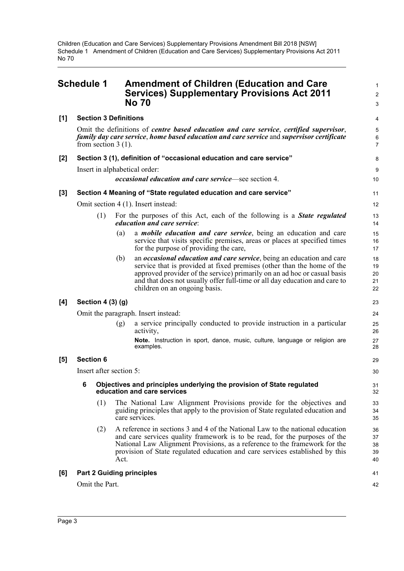<span id="page-7-0"></span>

|       | <b>Schedule 1</b>       |                              |      | <b>Amendment of Children (Education and Care</b><br><b>Services) Supplementary Provisions Act 2011</b><br><b>No 70</b>                                                                                                                                                                                                                             | 1<br>$\overline{\mathbf{c}}$<br>3 |  |
|-------|-------------------------|------------------------------|------|----------------------------------------------------------------------------------------------------------------------------------------------------------------------------------------------------------------------------------------------------------------------------------------------------------------------------------------------------|-----------------------------------|--|
| [1]   |                         | <b>Section 3 Definitions</b> |      |                                                                                                                                                                                                                                                                                                                                                    | 4                                 |  |
|       |                         | from section $3(1)$ .        |      | Omit the definitions of <i>centre based education and care service</i> , <i>certified supervisor</i> ,<br>family day care service, home based education and care service and supervisor certificate                                                                                                                                                | 5<br>6<br>7                       |  |
| $[2]$ |                         |                              |      | Section 3 (1), definition of "occasional education and care service"                                                                                                                                                                                                                                                                               | 8                                 |  |
|       |                         |                              |      | Insert in alphabetical order:                                                                                                                                                                                                                                                                                                                      | 9                                 |  |
|       |                         |                              |      | <i>occasional education and care service</i> —see section 4.                                                                                                                                                                                                                                                                                       | 10                                |  |
| [3]   |                         |                              |      | Section 4 Meaning of "State regulated education and care service"                                                                                                                                                                                                                                                                                  | 11                                |  |
|       |                         |                              |      | Omit section 4 (1). Insert instead:                                                                                                                                                                                                                                                                                                                | 12                                |  |
|       |                         | (1)                          |      | For the purposes of this Act, each of the following is a <b>State regulated</b><br><i>education and care service:</i>                                                                                                                                                                                                                              | 13<br>14                          |  |
|       |                         |                              | (a)  | a <i>mobile education and care service</i> , being an education and care<br>service that visits specific premises, areas or places at specified times<br>for the purpose of providing the care,                                                                                                                                                    | 15<br>16<br>17                    |  |
|       |                         |                              | (b)  | an <i>occasional education and care service</i> , being an education and care<br>service that is provided at fixed premises (other than the home of the<br>approved provider of the service) primarily on an ad hoc or casual basis<br>and that does not usually offer full-time or all day education and care to<br>children on an ongoing basis. | 18<br>19<br>20<br>21<br>22        |  |
| [4]   |                         | Section $4(3)(g)$            |      |                                                                                                                                                                                                                                                                                                                                                    | 23                                |  |
|       |                         |                              |      | Omit the paragraph. Insert instead:                                                                                                                                                                                                                                                                                                                | 24                                |  |
|       |                         |                              | (g)  | a service principally conducted to provide instruction in a particular<br>activity,                                                                                                                                                                                                                                                                | 25<br>26                          |  |
|       |                         |                              |      | Note. Instruction in sport, dance, music, culture, language or religion are<br>examples.                                                                                                                                                                                                                                                           | 27<br>28                          |  |
| [5]   |                         | <b>Section 6</b>             |      |                                                                                                                                                                                                                                                                                                                                                    | 29                                |  |
|       | Insert after section 5: |                              |      |                                                                                                                                                                                                                                                                                                                                                    |                                   |  |
|       | 6                       |                              |      | Objectives and principles underlying the provision of State regulated<br>education and care services                                                                                                                                                                                                                                               | 31<br>32                          |  |
|       |                         | (1)                          |      | The National Law Alignment Provisions provide for the objectives and<br>guiding principles that apply to the provision of State regulated education and<br>care services.                                                                                                                                                                          | 33<br>34<br>35                    |  |
|       |                         | (2)                          | Act. | A reference in sections 3 and 4 of the National Law to the national education<br>and care services quality framework is to be read, for the purposes of the<br>National Law Alignment Provisions, as a reference to the framework for the<br>provision of State regulated education and care services established by this                          | 36<br>37<br>38<br>39<br>40        |  |
| [6]   |                         |                              |      | <b>Part 2 Guiding principles</b>                                                                                                                                                                                                                                                                                                                   | 41                                |  |
|       |                         | Omit the Part.               |      |                                                                                                                                                                                                                                                                                                                                                    | 42                                |  |
|       |                         |                              |      |                                                                                                                                                                                                                                                                                                                                                    |                                   |  |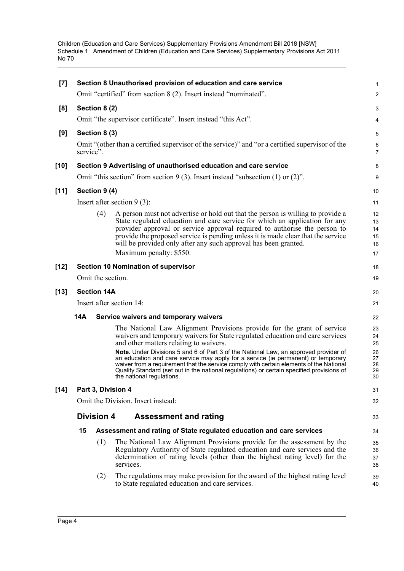| [7]    | Section 8 Unauthorised provision of education and care service<br>Omit "certified" from section 8 (2). Insert instead "nominated". |                    |                                                                                                                                                                                                                                                                                                                                                                                                                                                                                                                                                                                                     |                                              |  |
|--------|------------------------------------------------------------------------------------------------------------------------------------|--------------------|-----------------------------------------------------------------------------------------------------------------------------------------------------------------------------------------------------------------------------------------------------------------------------------------------------------------------------------------------------------------------------------------------------------------------------------------------------------------------------------------------------------------------------------------------------------------------------------------------------|----------------------------------------------|--|
| [8]    |                                                                                                                                    | Section 8 (2)      |                                                                                                                                                                                                                                                                                                                                                                                                                                                                                                                                                                                                     | 2<br>3                                       |  |
|        |                                                                                                                                    |                    | Omit "the supervisor certificate". Insert instead "this Act".                                                                                                                                                                                                                                                                                                                                                                                                                                                                                                                                       | 4                                            |  |
|        |                                                                                                                                    |                    |                                                                                                                                                                                                                                                                                                                                                                                                                                                                                                                                                                                                     |                                              |  |
| [9]    | service".                                                                                                                          | Section 8 (3)      | Omit "(other than a certified supervisor of the service)" and "or a certified supervisor of the                                                                                                                                                                                                                                                                                                                                                                                                                                                                                                     | 5<br>6<br>$\overline{7}$                     |  |
| $[10]$ |                                                                                                                                    |                    | Section 9 Advertising of unauthorised education and care service                                                                                                                                                                                                                                                                                                                                                                                                                                                                                                                                    | 8                                            |  |
|        |                                                                                                                                    |                    | Omit "this section" from section $9(3)$ . Insert instead "subsection (1) or (2)".                                                                                                                                                                                                                                                                                                                                                                                                                                                                                                                   | 9                                            |  |
| $[11]$ |                                                                                                                                    | Section 9 (4)      |                                                                                                                                                                                                                                                                                                                                                                                                                                                                                                                                                                                                     | 10                                           |  |
|        |                                                                                                                                    |                    | Insert after section $9(3)$ :                                                                                                                                                                                                                                                                                                                                                                                                                                                                                                                                                                       | 11                                           |  |
|        |                                                                                                                                    | (4)                | A person must not advertise or hold out that the person is willing to provide a<br>State regulated education and care service for which an application for any<br>provider approval or service approval required to authorise the person to<br>provide the proposed service is pending unless it is made clear that the service<br>will be provided only after any such approval has been granted.<br>Maximum penalty: \$550.                                                                                                                                                                       | 12<br>13<br>14<br>15<br>16<br>17             |  |
| $[12]$ |                                                                                                                                    |                    | <b>Section 10 Nomination of supervisor</b>                                                                                                                                                                                                                                                                                                                                                                                                                                                                                                                                                          | 18                                           |  |
|        |                                                                                                                                    | Omit the section.  |                                                                                                                                                                                                                                                                                                                                                                                                                                                                                                                                                                                                     | 19                                           |  |
| $[13]$ |                                                                                                                                    | <b>Section 14A</b> |                                                                                                                                                                                                                                                                                                                                                                                                                                                                                                                                                                                                     | 20                                           |  |
|        |                                                                                                                                    |                    | Insert after section 14:                                                                                                                                                                                                                                                                                                                                                                                                                                                                                                                                                                            | 21                                           |  |
|        | 14A                                                                                                                                |                    | Service waivers and temporary waivers                                                                                                                                                                                                                                                                                                                                                                                                                                                                                                                                                               | 22                                           |  |
|        |                                                                                                                                    |                    | The National Law Alignment Provisions provide for the grant of service<br>waivers and temporary waivers for State regulated education and care services<br>and other matters relating to waivers.<br>Note. Under Divisions 5 and 6 of Part 3 of the National Law, an approved provider of<br>an education and care service may apply for a service (ie permanent) or temporary<br>waiver from a requirement that the service comply with certain elements of the National<br>Quality Standard (set out in the national regulations) or certain specified provisions of<br>the national regulations. | 23<br>24<br>25<br>26<br>27<br>28<br>29<br>30 |  |
| $[14]$ |                                                                                                                                    |                    | Part 3, Division 4                                                                                                                                                                                                                                                                                                                                                                                                                                                                                                                                                                                  | 31                                           |  |
|        | Omit the Division. Insert instead:                                                                                                 |                    |                                                                                                                                                                                                                                                                                                                                                                                                                                                                                                                                                                                                     |                                              |  |
|        |                                                                                                                                    | <b>Division 4</b>  | <b>Assessment and rating</b>                                                                                                                                                                                                                                                                                                                                                                                                                                                                                                                                                                        | 33                                           |  |
|        | 15                                                                                                                                 |                    | Assessment and rating of State regulated education and care services                                                                                                                                                                                                                                                                                                                                                                                                                                                                                                                                | 34                                           |  |
|        |                                                                                                                                    | (1)                | The National Law Alignment Provisions provide for the assessment by the<br>Regulatory Authority of State regulated education and care services and the<br>determination of rating levels (other than the highest rating level) for the<br>services.                                                                                                                                                                                                                                                                                                                                                 | 35<br>36<br>37<br>38                         |  |
|        |                                                                                                                                    | (2)                | The regulations may make provision for the award of the highest rating level<br>to State regulated education and care services.                                                                                                                                                                                                                                                                                                                                                                                                                                                                     | 39<br>40                                     |  |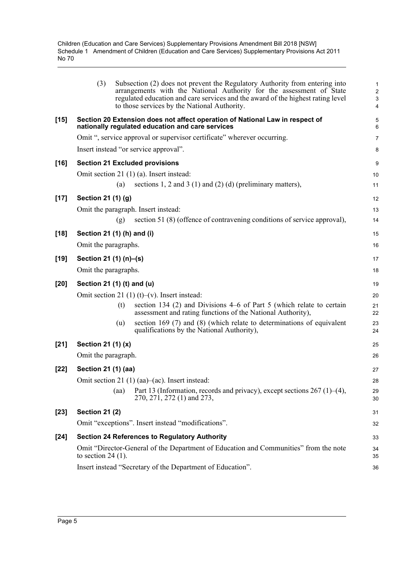|        | (3)<br>Subsection (2) does not prevent the Regulatory Authority from entering into<br>arrangements with the National Authority for the assessment of State<br>regulated education and care services and the award of the highest rating level<br>to those services by the National Authority. | $\mathbf{1}$<br>$\sqrt{2}$<br>3<br>4 |
|--------|-----------------------------------------------------------------------------------------------------------------------------------------------------------------------------------------------------------------------------------------------------------------------------------------------|--------------------------------------|
| $[15]$ | Section 20 Extension does not affect operation of National Law in respect of<br>nationally regulated education and care services                                                                                                                                                              | 5<br>6                               |
|        | Omit ", service approval or supervisor certificate" wherever occurring.                                                                                                                                                                                                                       | $\overline{7}$                       |
|        | Insert instead "or service approval".                                                                                                                                                                                                                                                         | 8                                    |
| $[16]$ | <b>Section 21 Excluded provisions</b>                                                                                                                                                                                                                                                         | 9                                    |
|        | Omit section 21 (1) (a). Insert instead:                                                                                                                                                                                                                                                      | 10                                   |
|        | sections 1, 2 and 3 (1) and (2) (d) (preliminary matters),<br>(a)                                                                                                                                                                                                                             | 11                                   |
| $[17]$ | Section 21 (1) (g)                                                                                                                                                                                                                                                                            | 12                                   |
|        | Omit the paragraph. Insert instead:                                                                                                                                                                                                                                                           | 13                                   |
|        | section 51 (8) (offence of contravening conditions of service approval),<br>(g)                                                                                                                                                                                                               | 14                                   |
| $[18]$ | Section 21 (1) (h) and (i)                                                                                                                                                                                                                                                                    | 15                                   |
|        | Omit the paragraphs.                                                                                                                                                                                                                                                                          | 16                                   |
| $[19]$ | Section 21 (1) (n)–(s)                                                                                                                                                                                                                                                                        | 17                                   |
|        | Omit the paragraphs.                                                                                                                                                                                                                                                                          | 18                                   |
| $[20]$ | Section 21 (1) (t) and (u)                                                                                                                                                                                                                                                                    | 19                                   |
|        | Omit section 21 (1) (t)–(v). Insert instead:                                                                                                                                                                                                                                                  | 20                                   |
|        | section 134 (2) and Divisions 4–6 of Part 5 (which relate to certain<br>(t)<br>assessment and rating functions of the National Authority),                                                                                                                                                    | 21<br>22                             |
|        | section $169(7)$ and $(8)$ (which relate to determinations of equivalent<br>(u)<br>qualifications by the National Authority),                                                                                                                                                                 | 23<br>24                             |
| $[21]$ | Section 21 (1) (x)                                                                                                                                                                                                                                                                            | 25                                   |
|        | Omit the paragraph.                                                                                                                                                                                                                                                                           | 26                                   |
| $[22]$ | Section 21 (1) (aa)                                                                                                                                                                                                                                                                           | 27                                   |
|        | Omit section 21 (1) (aa)–(ac). Insert instead:                                                                                                                                                                                                                                                | 28                                   |
|        | Part 13 (Information, records and privacy), except sections $267$ (1)–(4),<br>(aa)<br>270, 271, 272 (1) and 273,                                                                                                                                                                              | 29<br>30                             |
| $[23]$ | <b>Section 21 (2)</b>                                                                                                                                                                                                                                                                         | 31                                   |
|        | Omit "exceptions". Insert instead "modifications".                                                                                                                                                                                                                                            | 32                                   |
| $[24]$ | <b>Section 24 References to Regulatory Authority</b>                                                                                                                                                                                                                                          | 33                                   |
|        | Omit "Director-General of the Department of Education and Communities" from the note<br>to section $24(1)$ .                                                                                                                                                                                  | 34<br>35                             |
|        | Insert instead "Secretary of the Department of Education".                                                                                                                                                                                                                                    | 36                                   |
|        |                                                                                                                                                                                                                                                                                               |                                      |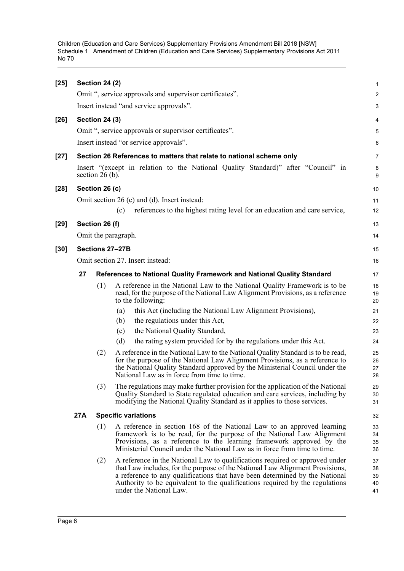| $[25]$ |                 | <b>Section 24 (2)</b> |     |                                                                                                                                                                                                                                                                                                                                                        | $\mathbf{1}$               |  |
|--------|-----------------|-----------------------|-----|--------------------------------------------------------------------------------------------------------------------------------------------------------------------------------------------------------------------------------------------------------------------------------------------------------------------------------------------------------|----------------------------|--|
|        |                 |                       |     | Omit ", service approvals and supervisor certificates".                                                                                                                                                                                                                                                                                                | $\overline{2}$             |  |
|        |                 |                       |     | Insert instead "and service approvals".                                                                                                                                                                                                                                                                                                                | 3                          |  |
| $[26]$ |                 | <b>Section 24 (3)</b> |     |                                                                                                                                                                                                                                                                                                                                                        | 4                          |  |
|        |                 |                       |     | Omit ", service approvals or supervisor certificates".                                                                                                                                                                                                                                                                                                 | 5                          |  |
|        |                 |                       |     | Insert instead "or service approvals".                                                                                                                                                                                                                                                                                                                 | 6                          |  |
| $[27]$ |                 |                       |     | Section 26 References to matters that relate to national scheme only                                                                                                                                                                                                                                                                                   | $\overline{7}$             |  |
|        |                 | section $26(b)$ .     |     | Insert "(except in relation to the National Quality Standard)" after "Council" in                                                                                                                                                                                                                                                                      | 8<br>9                     |  |
| $[28]$ |                 | Section 26 (c)        |     |                                                                                                                                                                                                                                                                                                                                                        | 10                         |  |
|        |                 |                       |     | Omit section 26 (c) and (d). Insert instead:                                                                                                                                                                                                                                                                                                           | 11                         |  |
|        |                 |                       | (c) | references to the highest rating level for an education and care service,                                                                                                                                                                                                                                                                              | 12                         |  |
| $[29]$ |                 | Section 26 (f)        |     |                                                                                                                                                                                                                                                                                                                                                        | 13                         |  |
|        |                 | Omit the paragraph.   |     |                                                                                                                                                                                                                                                                                                                                                        | 14                         |  |
| $[30]$ | Sections 27-27B |                       |     |                                                                                                                                                                                                                                                                                                                                                        |                            |  |
|        |                 |                       |     | Omit section 27. Insert instead:                                                                                                                                                                                                                                                                                                                       | 16                         |  |
|        | 27              |                       |     | References to National Quality Framework and National Quality Standard                                                                                                                                                                                                                                                                                 | 17                         |  |
|        |                 | (1)                   |     | A reference in the National Law to the National Quality Framework is to be<br>read, for the purpose of the National Law Alignment Provisions, as a reference<br>to the following:                                                                                                                                                                      | 18<br>19<br>20             |  |
|        |                 |                       | (a) | this Act (including the National Law Alignment Provisions),                                                                                                                                                                                                                                                                                            | 21                         |  |
|        |                 |                       | (b) | the regulations under this Act,                                                                                                                                                                                                                                                                                                                        | 22                         |  |
|        |                 |                       | (c) | the National Quality Standard,                                                                                                                                                                                                                                                                                                                         | 23                         |  |
|        |                 |                       | (d) | the rating system provided for by the regulations under this Act.                                                                                                                                                                                                                                                                                      | 24                         |  |
|        |                 | (2)                   |     | A reference in the National Law to the National Quality Standard is to be read,<br>for the purpose of the National Law Alignment Provisions, as a reference to<br>the National Quality Standard approved by the Ministerial Council under the<br>National Law as in force from time to time.                                                           | 25<br>26<br>27<br>28       |  |
|        |                 | (3)                   |     | The regulations may make further provision for the application of the National<br>Quality Standard to State regulated education and care services, including by<br>modifying the National Quality Standard as it applies to those services.                                                                                                            | 29<br>30<br>31             |  |
|        | 27A             |                       |     | <b>Specific variations</b>                                                                                                                                                                                                                                                                                                                             | 32                         |  |
|        |                 | (1)                   |     | A reference in section 168 of the National Law to an approved learning<br>framework is to be read, for the purpose of the National Law Alignment<br>Provisions, as a reference to the learning framework approved by the<br>Ministerial Council under the National Law as in force from time to time.                                                  | 33<br>34<br>35<br>36       |  |
|        |                 | (2)                   |     | A reference in the National Law to qualifications required or approved under<br>that Law includes, for the purpose of the National Law Alignment Provisions,<br>a reference to any qualifications that have been determined by the National<br>Authority to be equivalent to the qualifications required by the regulations<br>under the National Law. | 37<br>38<br>39<br>40<br>41 |  |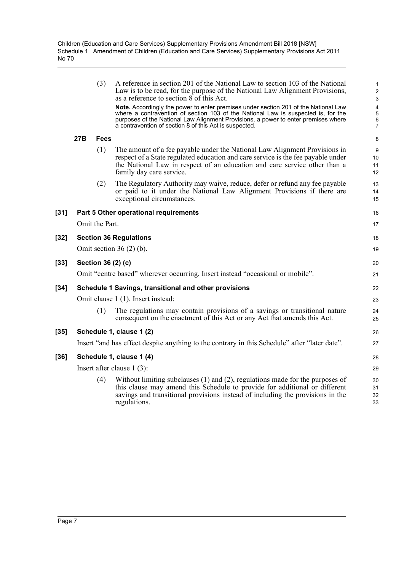|        |     | (3)            | A reference in section 201 of the National Law to section 103 of the National<br>Law is to be read, for the purpose of the National Law Alignment Provisions,<br>as a reference to section 8 of this Act.                                                                                                                | $\mathbf{1}$<br>$\sqrt{2}$<br>$\mathbf{3}$                          |
|--------|-----|----------------|--------------------------------------------------------------------------------------------------------------------------------------------------------------------------------------------------------------------------------------------------------------------------------------------------------------------------|---------------------------------------------------------------------|
|        |     |                | Note. Accordingly the power to enter premises under section 201 of the National Law<br>where a contravention of section 103 of the National Law is suspected is, for the<br>purposes of the National Law Alignment Provisions, a power to enter premises where<br>a contravention of section 8 of this Act is suspected. | $\overline{\mathbf{4}}$<br>$\mathbf 5$<br>$\,6\,$<br>$\overline{7}$ |
|        | 27B | <b>Fees</b>    |                                                                                                                                                                                                                                                                                                                          | 8                                                                   |
|        |     | (1)            | The amount of a fee payable under the National Law Alignment Provisions in<br>respect of a State regulated education and care service is the fee payable under<br>the National Law in respect of an education and care service other than a<br>family day care service.                                                  | 9<br>10<br>11<br>12                                                 |
|        |     | (2)            | The Regulatory Authority may waive, reduce, defer or refund any fee payable<br>or paid to it under the National Law Alignment Provisions if there are<br>exceptional circumstances.                                                                                                                                      | 13<br>14<br>15                                                      |
| [31]   |     |                | Part 5 Other operational requirements                                                                                                                                                                                                                                                                                    | 16                                                                  |
|        |     | Omit the Part. |                                                                                                                                                                                                                                                                                                                          | 17                                                                  |
| $[32]$ |     |                | <b>Section 36 Regulations</b>                                                                                                                                                                                                                                                                                            | 18                                                                  |
|        |     |                | Omit section $36(2)$ (b).                                                                                                                                                                                                                                                                                                | 19                                                                  |
| [33]   |     |                | Section 36 (2) (c)                                                                                                                                                                                                                                                                                                       | 20                                                                  |
|        |     |                | Omit "centre based" wherever occurring. Insert instead "occasional or mobile".                                                                                                                                                                                                                                           | 21                                                                  |
| [34]   |     |                | Schedule 1 Savings, transitional and other provisions                                                                                                                                                                                                                                                                    | 22                                                                  |
|        |     |                | Omit clause 1 (1). Insert instead:                                                                                                                                                                                                                                                                                       | 23                                                                  |
|        |     | (1)            | The regulations may contain provisions of a savings or transitional nature<br>consequent on the enactment of this Act or any Act that amends this Act.                                                                                                                                                                   | 24<br>25                                                            |
| [35]   |     |                | Schedule 1, clause 1 (2)                                                                                                                                                                                                                                                                                                 | 26                                                                  |
|        |     |                | Insert "and has effect despite anything to the contrary in this Schedule" after "later date".                                                                                                                                                                                                                            | 27                                                                  |
| [36]   |     |                | Schedule 1, clause 1 (4)                                                                                                                                                                                                                                                                                                 | 28                                                                  |
|        |     |                | Insert after clause $1(3)$ :                                                                                                                                                                                                                                                                                             | 29                                                                  |
|        |     | (4)            | Without limiting subclauses $(1)$ and $(2)$ , regulations made for the purposes of<br>this clause may amend this Schedule to provide for additional or different<br>savings and transitional provisions instead of including the provisions in the<br>regulations.                                                       | 30<br>31<br>32<br>33                                                |
|        |     |                |                                                                                                                                                                                                                                                                                                                          |                                                                     |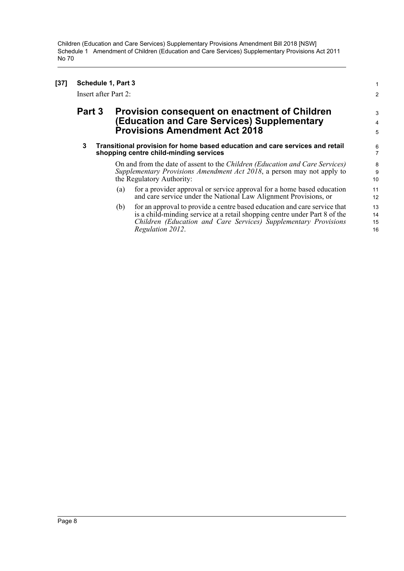### **[37] Schedule 1, Part 3** 1

Insert after Part 2: 2

## **Part 3 Provision consequent on enactment of Children** 3 **(Education and Care Services) Supplementary** <sup>4</sup> **Provisions Amendment Act 2018** <sup>5</sup>

#### **3 Transitional provision for home based education and care services and retail** 6 **shopping centre child-minding services** 7

On and from the date of assent to the *Children (Education and Care Services)* 8 *Supplementary Provisions Amendment Act 2018*, a person may not apply to the Regulatory Authority: 10

- (a) for a provider approval or service approval for a home based education 11 and care service under the National  $\hat{L}$ aw Alignment Provisions, or 12
- (b) 15 14 for an approval to provide a centre based education and care service that 13 is a child-minding service at a retail shopping centre under Part 8 of the *Children (Education and Care Services) Supplementary Provisions Regulation 2012.* 16

9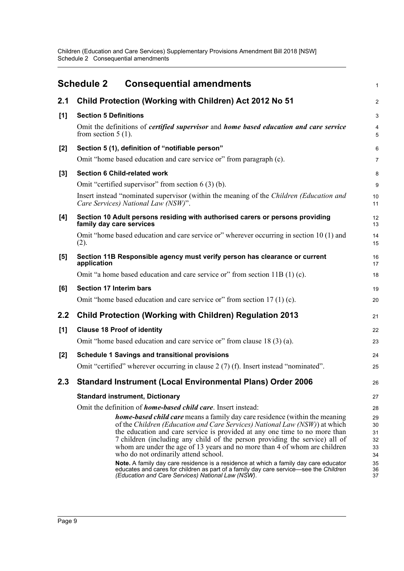Children (Education and Care Services) Supplementary Provisions Amendment Bill 2018 [NSW] Schedule 2 Consequential amendments

<span id="page-13-0"></span>

|       | <b>Schedule 2</b><br><b>Consequential amendments</b>                                                                                                                                                                                                                                                                                                                                                                                                | $\mathbf{1}$                     |
|-------|-----------------------------------------------------------------------------------------------------------------------------------------------------------------------------------------------------------------------------------------------------------------------------------------------------------------------------------------------------------------------------------------------------------------------------------------------------|----------------------------------|
| 2.1   | Child Protection (Working with Children) Act 2012 No 51                                                                                                                                                                                                                                                                                                                                                                                             | $\overline{2}$                   |
| [1]   | <b>Section 5 Definitions</b>                                                                                                                                                                                                                                                                                                                                                                                                                        | $\mathbf{3}$                     |
|       | Omit the definitions of <i>certified supervisor</i> and <i>home based education and care service</i><br>from section $5(1)$ .                                                                                                                                                                                                                                                                                                                       | 4<br>5                           |
| $[2]$ | Section 5 (1), definition of "notifiable person"                                                                                                                                                                                                                                                                                                                                                                                                    | 6                                |
|       | Omit "home based education and care service or" from paragraph (c).                                                                                                                                                                                                                                                                                                                                                                                 | $\overline{7}$                   |
| [3]   | <b>Section 6 Child-related work</b>                                                                                                                                                                                                                                                                                                                                                                                                                 | 8                                |
|       | Omit "certified supervisor" from section $6(3)(b)$ .                                                                                                                                                                                                                                                                                                                                                                                                | 9                                |
|       | Insert instead "nominated supervisor (within the meaning of the Children (Education and<br>Care Services) National Law (NSW)".                                                                                                                                                                                                                                                                                                                      | 10<br>11                         |
| [4]   | Section 10 Adult persons residing with authorised carers or persons providing<br>family day care services                                                                                                                                                                                                                                                                                                                                           | 12<br>13                         |
|       | Omit "home based education and care service or" wherever occurring in section 10 (1) and<br>(2).                                                                                                                                                                                                                                                                                                                                                    | 14<br>15                         |
| [5]   | Section 11B Responsible agency must verify person has clearance or current<br>application                                                                                                                                                                                                                                                                                                                                                           | 16<br>17                         |
|       | Omit "a home based education and care service or" from section 11B (1) (c).                                                                                                                                                                                                                                                                                                                                                                         | 18                               |
| [6]   | <b>Section 17 Interim bars</b>                                                                                                                                                                                                                                                                                                                                                                                                                      | 19                               |
|       | Omit "home based education and care service or" from section 17 (1) (c).                                                                                                                                                                                                                                                                                                                                                                            | 20                               |
| 2.2   | <b>Child Protection (Working with Children) Regulation 2013</b>                                                                                                                                                                                                                                                                                                                                                                                     | 21                               |
| [1]   | <b>Clause 18 Proof of identity</b>                                                                                                                                                                                                                                                                                                                                                                                                                  | 22                               |
|       | Omit "home based education and care service or" from clause 18(3)(a).                                                                                                                                                                                                                                                                                                                                                                               | 23                               |
| [2]   | <b>Schedule 1 Savings and transitional provisions</b>                                                                                                                                                                                                                                                                                                                                                                                               | 24                               |
|       | Omit "certified" wherever occurring in clause 2 (7) (f). Insert instead "nominated".                                                                                                                                                                                                                                                                                                                                                                | 25                               |
| 2.3   | <b>Standard Instrument (Local Environmental Plans) Order 2006</b>                                                                                                                                                                                                                                                                                                                                                                                   | 26                               |
|       | <b>Standard instrument, Dictionary</b>                                                                                                                                                                                                                                                                                                                                                                                                              | 27                               |
|       | Omit the definition of <i>home-based child care</i> . Insert instead:                                                                                                                                                                                                                                                                                                                                                                               | 28                               |
|       | <b>home-based child care</b> means a family day care residence (within the meaning<br>of the Children (Education and Care Services) National Law (NSW)) at which<br>the education and care service is provided at any one time to no more than<br>7 children (including any child of the person providing the service) all of<br>whom are under the age of 13 years and no more than 4 of whom are children<br>who do not ordinarily attend school. | 29<br>30<br>31<br>32<br>33<br>34 |
|       | Note. A family day care residence is a residence at which a family day care educator<br>educates and cares for children as part of a family day care service—see the Children<br>(Education and Care Services) National Law (NSW).                                                                                                                                                                                                                  | 35<br>36<br>37                   |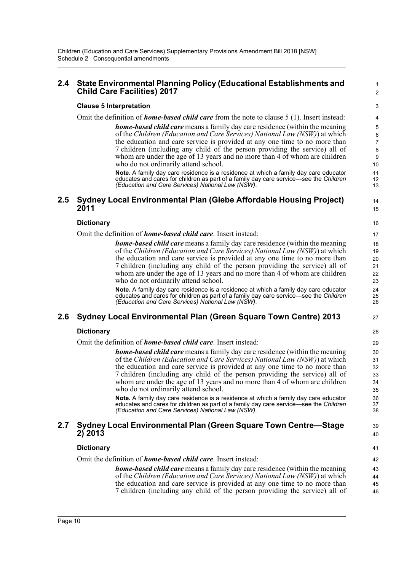### **2.4 State Environmental Planning Policy (Educational Establishments and** <sup>1</sup> **Child Care Facilities) 2017** <sup>2</sup>

### **Clause 5 Interpretation** 3

Omit the definition of *home-based child care* from the note to clause 5 (1). Insert instead: 4

*home-based child care* means a family day care residence (within the meaning  $\frac{5}{5}$ of the *Children (Education and Care Services) National Law (NSW)*) at which the education and care service is provided at any one time to no more than 7 children (including any child of the person providing the service) all of whom are under the age of 13 years and no more than 4 of whom are children who do not ordinarily attend school. 10

12

25

37<br>38

**Note.** A family day care residence is a residence at which a family day care educator **11** educates and cares for children as part of a family day care service—see the *Children (Education and Care Services) National Law (NSW)*. 13

### **2.5 Sydney Local Environmental Plan (Glebe Affordable Housing Project)** <sup>14</sup> **2011** 15

### **Dictionary** 16

Omit the definition of *home-based child care*. Insert instead: 17

*home-based child care* means a family day care residence (within the meaning 18 of the *Children (Education and Care Services) National Law (NSW)*) at which the education and care service is provided at any one time to no more than 7 children (including any child of the person providing the service) all of whom are under the age of 13 years and no more than 4 of whom are children who do not ordinarily attend school. 23

**Note.**  A family day care residence is a residence at which a family day care educator 24 educates and cares for children as part of a family day care service—see the *Children (Education and Care Services) National Law (NSW)*. 26

### **2.6 Sydney Local Environmental Plan (Green Square Town Centre) 2013** <sup>27</sup>

### **Dictionary** 28

Omit the definition of *home-based child care*. Insert instead: 29

*home-based child care* means a family day care residence (within the meaning 30 of the *Children (Education and Care Services) National Law (NSW)*) at which the education and care service is provided at any one time to no more than 7 children (including any child of the person providing the service) all of whom are under the age of 13 years and no more than 4 of whom are children who do not ordinarily attend school. 35

**Note.**  A family day care residence is a residence at which a family day care educator 36 educates and cares for children as part of a family day care service—see the *Children (Education and Care Services) National Law (NSW).* 

### **2.7 Sydney Local Environmental Plan (Green Square Town Centre—Stage** <sup>39</sup> **2) 2013** <sup>40</sup>

### **Dictionary** 41

Omit the definition of *home-based child care*. Insert instead: 42

46 45 44 *home-based child care* means a family day care residence (within the meaning 43 of the *Children (Education and Care Services) National Law (NSW)*) at which the education and care service is provided at any one time to no more than 7 children (including any child of the person providing the service) all of